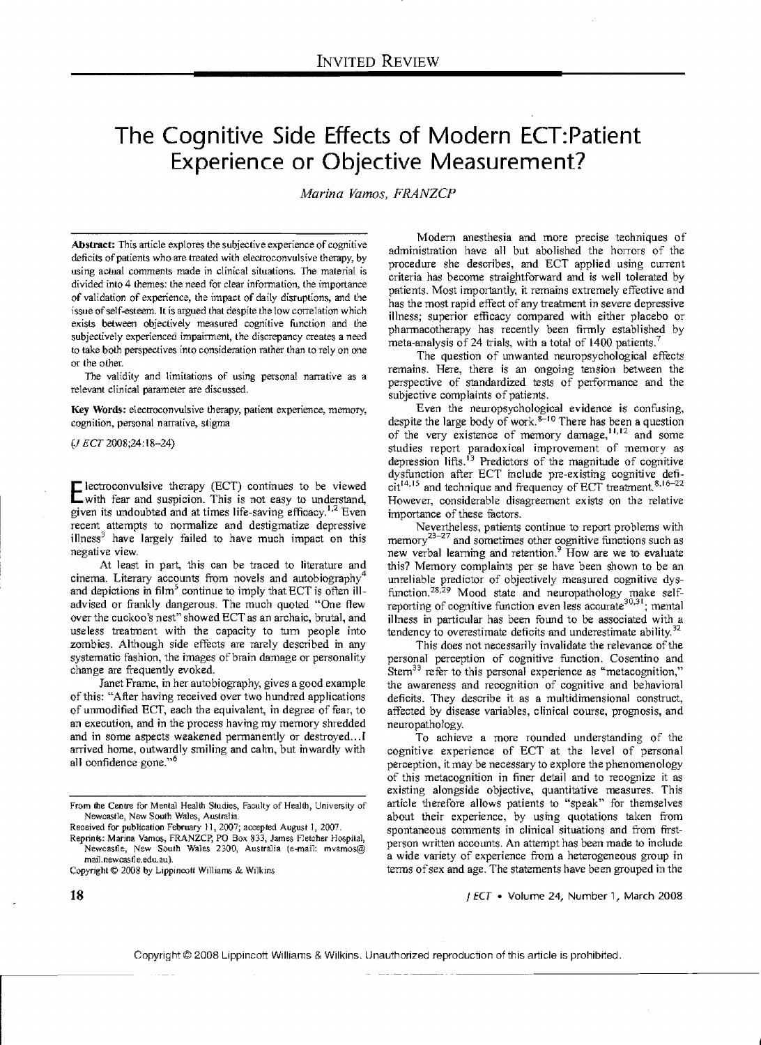# **The Cognitive Side Effects of Modern ECT:Patient Experience or Objective Measurement?**

*Marina Vamos, FRANZCP* 

Abstract: This article explores the subjective experience of cognitive deficits of patients who are treated with electroconvulsive therapy, by using actual comments made in clinical situations. The material is divided into 4 themes: the need for clear information, the importance of validation of experience, the impact of daily disruptions, and the issue of self-esteem. It is argued that despite the low correlation which exists between objectively measured cognitive function and the subjectively experienced impairment, the discrepancy creates a need to take both perspectives into consideration rather than to rely on one or the other.

The validity and limitations of using personal narrative as a relevant clinical parameter are discussed.

Key Words: electroconvulsive therapy, patient experience, memory, cognition, personal narrative, stigma

*(J* ECT 2008;24:18-24)

Electroconvulsive therapy (ECT) continues to be viewed with fear and suspicion. This is not easy to understand, given its undoubted and at times life-saving efficacy.<sup>1,2</sup> Even recent attempts to normalize and destigmatize depressive illness<sup>3</sup> have largely failed to have much impact on this negative view.

At least in part, this can be traced to literature and cinema. Literary accounts from novels and autobiography<sup>4</sup> and depictions in  $film<sup>5</sup>$  continue to imply that ECT is often illadvised or frankly dangerous. The much quoted "One flew over the cuckoo's nest" showed ECTas an archaic, brutal, and use less treatment with the capacity to tum people into zombies. Although side effects are rarely described in any systematic fashion, the images of brain damage or personality change are frequently evoked.

Janet Frame, in her autobiography, gives a good example of this: "After having received over two hundred applications of unmodified ECT, each the equivalent, in degree of fear, to an execution, and in the process having my memory shredded and in some aspects weakened permanently or destroyed...I arrived home, outwardly smiling and calm, but inwardly with all confidence gone."6

Modem anesthesia and more precise techniques of administration have all but abolished the horrors of the procedure she describes, and ECT applied using current criteria has become straightforward and is well tolerated by patients. Most importantly, it remains extremely effective and has the most rapid effect of any treatment in severe depressive illness; superior efficacy compared with either placebo or pharmacotherapy has recently been firmly established by meta-analysis of 24 trials, with a total of  $1400$  patients.<sup>7</sup>

The question of unwanted neuropsychological effects remains. Here, there is an ongoing tension between the perspective of standardized tests of performance and the subjective complaints of patients.

Even the neuropsychological evidence is confusing, despite the large body of work. $8-10$  There has been a question of the very existence of memory damage, **II,** 12 and some studies report paradoxical improvement of memory as depression lifts.<sup>13</sup> Predictors of the magnitude of cognitive dysfunction after ECT include pre-existing cognitive defi- $\text{cit}^{14,15}$  and technique and frequency of ECT treatment.  $8,16-22$ However, considerable disagreement exists on the relative importance of these factors.

Nevertheless, patients continue to report problems with memory $^{23-27}$  and sometimes other cognitive functions such as new verbal learning and retention.<sup>9</sup> How are we to evaluate this? Memory complaints per se have been shown to be an unreliable predictor of objectively measured cognitive dysfunction.<sup>28,29</sup> Mood state and neuropathology make self-<br>reporting of cognitive function even less accurate<sup>30,31</sup>; mental illness in particular has been found to be associated with a tendency to overestimate deficits and underestimate ability. $32$ 

This does not necessarily invalidate the relevance of the personal perception of cognitive function. Cosentino and Stem $33$  refer to this personal experience as "metacognition," the awareness and recognition of cognitive and behavioral deficits. They describe it as a multidimensional construct, affected by disease variables, clinical course, prognosis, and neuropathology.

To achieve a more rounded understanding of the cognitive experience of ECT at the level of personal perception, it may be necessary to explore the phenomenology of this metacognition in finer detail and to recognize it as existing alongside objective, quantitative measures. This article therefore allows patients to "speak" for themselves about their experience, by using quotations taken from spontaneous comments in clinical situations and from firstperson written accounts. An attempt has been made to include a wide variety of experience from a heterogeneous group in terms of sex and age. The statements have been grouped in the

I ECT • Volume 24, Number 1, March 2008

From the Centre for Mental Health Studies, Faculty of Health, University of Newcastle, New Soulh Wales, Australia.

Received for publication February 11, 2007; accepted August 1, 2007. Reprints: Marina Vamos, FRANZCP, PO Box 833, James Fletcher Hospital,

Newcastle, New South Wales 2300, Australia (e-mail: mvamos@ mail.newcastle.edu.au).

Copyright © 2008 by Lippincott Williams & Wilkins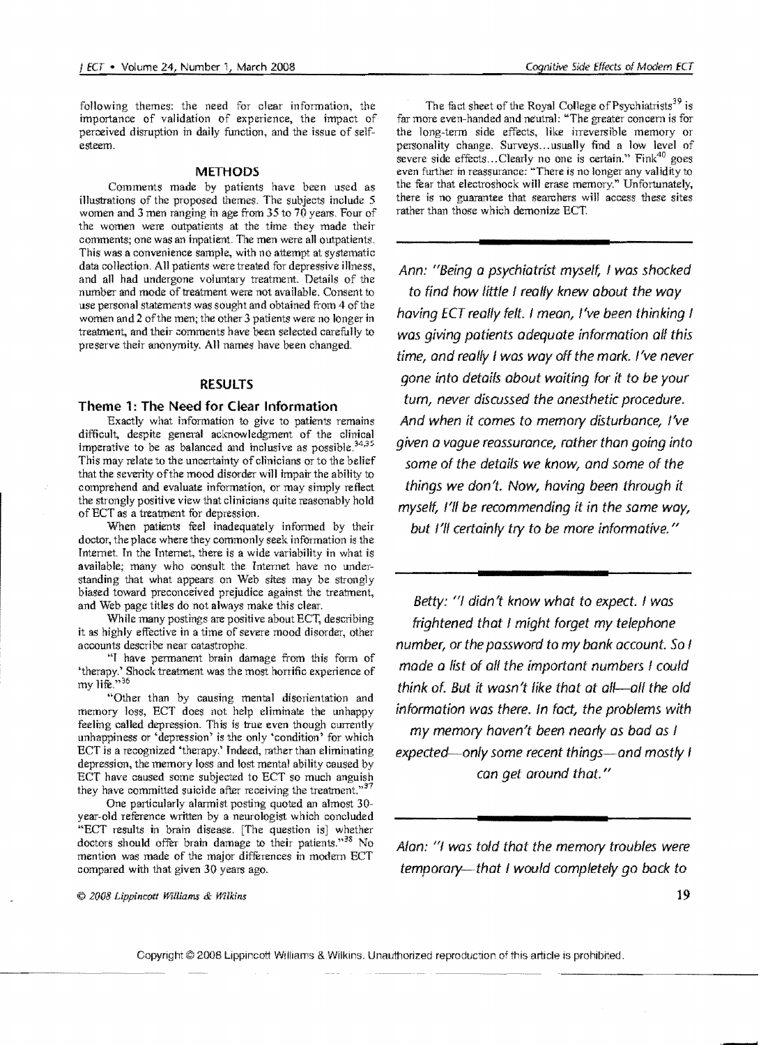following themes: the need for clear information, the importance of validation of experience, the impact of perceived disruption in daily function, and the issue of selfesteem.

#### **METHODS**

Comments made by patients have been used as illustrations of the proposed themes. The subjects include 5 women and 3 men ranging in age from 35 to 70 years. Four of the women were outpatients at the time they made their comments; one was an inpatient. The men were all outpatients. This was a convenience sample, with no attempt at systematic data collection. All patients were treated for depressive illness, and all had undergone voluntary treatment. Details of the number and mode of treatment were not available. Consent to use personal statements was sought and obtained from 4 of the women and 2 of the men; the other 3 patients were no longer in treatment, and their comments have been selected carefully to preserve their anonymity. All names have been changed.

#### **RESULTS**

#### **Theme** 1: **The Need for Clear Information**

Exactly what information to give to patients remains difficult, despite general acknowledgment of the clinical imperative to be as balanced and inclusive as possible. $34,35$ This may relate to the uncertainty of clinicians or to the belief that the severity ofthe mood disorder will impair the ability to comprehend and evaluate information, or may simply reflect the strongly positive view that clinicians quite reasonably hold of ECT as a treatment for depression.

When patients feel inadequately informed by their doctor, the place where they commonly seek information is the Internet. In the Internet, there is a wide variability in what is available; many who consult the Internet have no understanding that what appears on Web sites may be strongly biased toward preconceived prejudice against the treatment, and Web page titles do not always make this clear.

While many postings are positive about ECT, describing it as highly effective in a time of severe mood disorder, other accounts describe near catastrophe.

"I have permanent brain damage from this form of 'therapy.' Shock treatment was the most horrific experience of my life. $^{35}$ 

"Other than by causing mental disorientation and memory loss, ECT does not help eliminate the unhappy feeling called depression. This is true even though currently unhappiness or 'depression' is the only 'condition' for which ECT is a recognized 'therapy.' Indeed, rather than eliminating depression, the memory loss and lost mental ability caused by ECT have caused some subjected to ECT so much anguish they have committed suicide after receiving the treatment."<sup>3</sup>

One particularly alarmist posting quoted an almost 30 year-old reference written by a neurologist which concluded "ECT results in brain disease. [The question is] whether doctors should offer brain damage to their patients."<sup>38</sup> No mention was made of the major diffurences in modem ECT compared with that given 30 years ago.

The fact sheet of the Royal College of Psychiatrists<sup>39</sup> is far more even-handed and neutral: "The greater concern is for the long-term side effects, like irreversible memory or personality change. Surveys...usually find a low level of severe side effects... Clearly no one is certain." Fink<sup>40</sup> goes even further in reassurance: "There is no longer any validity to the fear that electroshock will erase memory." Unfortunately, there is no guarantee that searchers will access these sites rather than those which demonize ECT.

Ann: "Being a psychiatrist myself, I was shocked to find how little / really knew about the way having ECT really felt. I mean, I've been thinking I was giving patients adequate information all this time, and really / was way off the mark. /'ve never gone into details about waiting for it to be your tum, never discussed the anesthetic procedure. And when it comes to memory disturbance, I've given a vogue reassurance, rather than going into some of the details we know, and some of the things we don't. Now, having been through it myself, I'lf be recommending it in the same way, but I'll certainly try to be more informative."

Betty: "/ didn't know what to expect. I was frightened that I might forget my telephone number, or the password to my bank account. So I made a list of all the important numbers / could think of. But it wasn't like that at all—all the old information was there. In fact, the problems with my memory haven't been nearly as bad as / expected—only some recent things—and mostly I can get around that. "

Alan: "I was told that the memory troubles were temporary--that I would completely go back to

© 2008 Lippincott Williams & Wilkins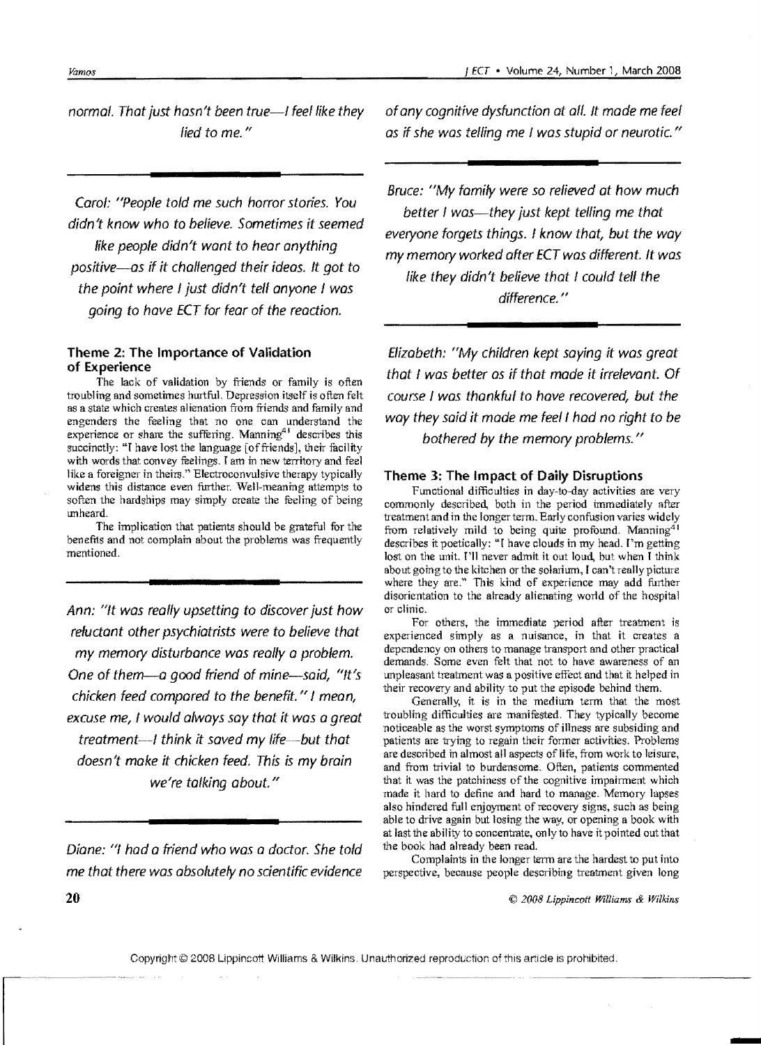normal. That just hasn't been true-I feel like they lied to me."

Carol: "People told me such horror stories. You didn't know who to believe. Sometimes it seemed like people didn't want to hear anything positive-as if *it* chaffenged their ideas. It got to the point where I just didn't tell anyone I was going to have ECT for fear of the reaction.

## Theme 2: The Importance of Validation of Experience

The lack of validation by friends or family is often troubling and sometimes hurtful. Depression itself is often felt as a state which creates alienation from friends and family and engenders the feeling that no one can understand the experience or share the suffering. Manning $41$  describes this succinctly: "I have lost the language [of friends], their facility with words that convey feelings. I am in new territory and feel like a foreigner in theirs." Electroconvulsive therapy typically widens this distance even further. Well-meaning attempts to soften the hardships may simply create the feeling of being unheard.

The implication that patients should be grateful for the benefits and not complain about the problems was frequently mentioned.

Ann: "It was really upsetting to discover just how reluctant other psychiatrists were to believe that my memory disturbance was really a problem. One of them-a good friend of mine-said, "/t's chicken feed compared to the benefit."  $\ell$  mean, excuse me, I would always say that it was a great treatment--- $l$  think it saved my life---but that doesn't make *it* chicken feed. This is my brain we're talking about."

Diane: "I had a friend who was a doctor. She told me that there was absolutely no scientific evidence ofany cognitive dysfunction at aff. It made me feel as if she was telling me I was stupid or neurotic."

Bruce: "My family were so relieved at how much better I was—they just kept telling me that everyone forgets things. I know that, but the way my memory worked after ECT was different. It was like they didn't believe that I could tell the difference."

Elizabeth: "My children kept saying it was great that I was better as if that made it irrelevant. Of course I was thankful to have recovered, but the way they said it made me feel I had no right to be bothered by the memory problems."

## Theme 3: The Impact of Daily Disruptions

Functional difficulties in day-to-day activities are very commonly described, both in the period immediately after treatment and in the longer term. Early confusion varies widely from relatively mild to being quite profound. Manning<sup>41</sup> describes it poetically: "T have clouds in my head, I'm getting lost on the unit. I'll never admit it out loud, but when I think about going to the kitchen or the solarium, I can't really picture where they are." This kind of experience may add further disorientation to the already alienating world of the hospital or clinic.

For others, the immediate period after treatment is experienced simply as a nuisance, in that it creates a dependency on others to manage transport and other practical demands. Some even felt that not to have awareness of an unpleasant treatment was a positive effect and that it helped in their recovery and ability to put the episode behind them.

Generally, it is in the medium term that the most troubling difficulties are manifested. They typically become noticeable as the worst symptoms of illness are subsiding and patients are trying to regain their fonner activities. Problems are described in almost all aspects of life, from work to leisure, and from trivial to burdensome. Often, patients commented that it was the patchiness of the cognitive impairment which made it hard to define and hard to manage. Memory lapses also hindered full enjoyment of recovery signs, such as being able to drive again but losing the way, or opening a book with at last the ability to concentrate, on Iy to have it pointed out that the book had already been read.

Complaints in the longer term are the hardest to put into perspective, because people describing treatment given long

© *2008 Lippincott Williams* & *Wilkins*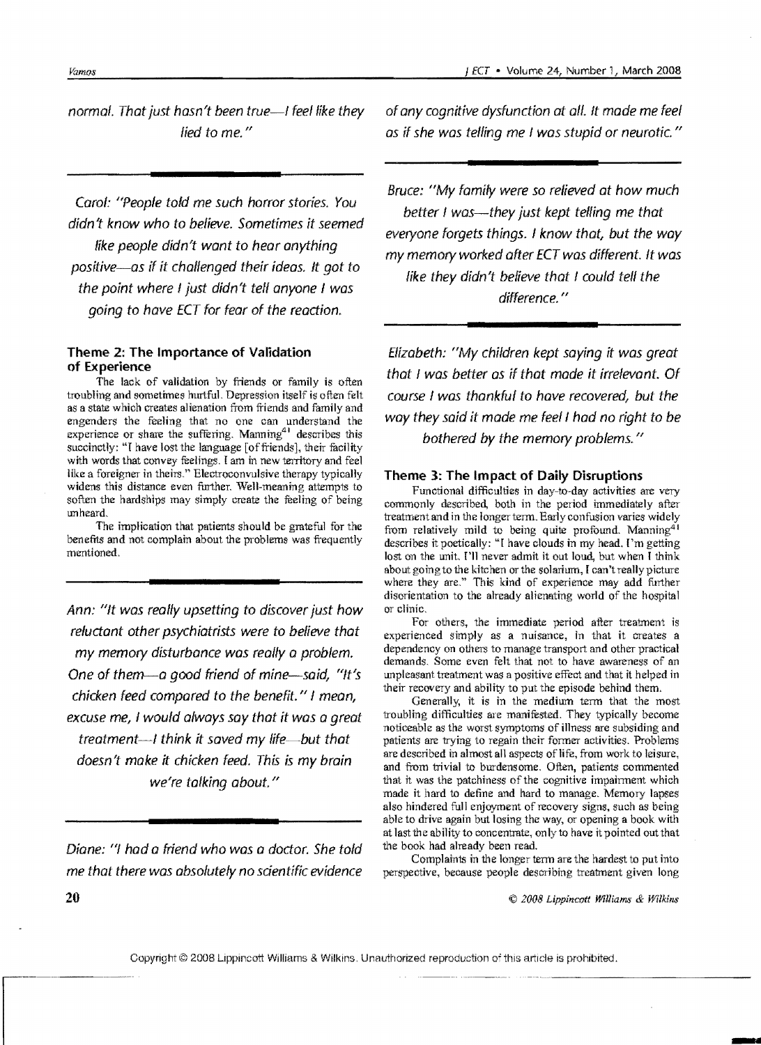normal. That just hasn't been true-I feel like they lied to me."

Carol: "People told me such horror stories. You didn't know who to believe. Sometimes it seemed like people didn't want to hear anything positive-as if it chalfenged their ideas. It got to the point where I just didn't tell anyone I was going to have ECT for fear of the reaction.

### **Theme 2: The Importance of Validation of Experience**

The lack of validation by friends or family is often troubling and sometimes hurtful. Depression itself is often felt as a state which creates alienation from friends and family and engenders the feeling that no one can understand the experience or share the suffering. Manning<sup>41</sup> describes this succinctly: "I have lost the language [of friends], their facility with words that convey feelings. I am in new territory and feel like a foreigner in theirs." Electroconvulsive therapy typically widens this distance even further. Well-meaning attempts to soften the hardships may simply create the feeling of being unheard.

The implication that patients should be gmteful for the benefits and not complain about the problems was frequently mentioned.

Ann: "It was really upsetting to discover just how reluctant other psychiatrists were to believe that my memory disturbance was really a problem. One of them—a good friend of mine—said, "It's chicken feed compared to the benefit." I mean, excuse me, I would always say that it was a great treatment-I think it saved my life-but that doesn't make it chicken feed. This is my brain we're talking about."

Diane: "I had a friend who was a doctor. She told me that there was absolutely no sdentific evidence ofany cognitive dysfunction at all. It made me feel as if she was telling me I was stupid or neurotic."

Bruce: "My family were so relieved at how much better I was—they just kept telling me that everyone forgets things. I know that, but the way my memory worked after ECT was different. It was like they didn't believe that I could tell the difference."

Elizabeth: "My children kept saying it was great that I was better as if that made *it* irrelevant. Of course I was thankful to have recovered, but the way they said it made me feel I had no right to be bothered by the memory problems."

#### **Theme 3: The Impact of Daily Disruptions**

Functional difficulties in day-to-day activities are very commonly described, both in the period immediately after treatment and in the longer term. Early confusion varies widely from relatively mild to being quite profound. Manning<sup>41</sup> describes it poetically: "I have clouds in my head. I'm getting lost on the unit. I'll never admit it out loud, but when I think about going to the kitchen or the solarium, I can't really picture where they are." This kind of experience may add further disorientation to the already alienating world of the hospital or clinic.

For others, the immediate period after treatment is experienced simply as a nuisance, in that it creates a dependency on others to manage transport and other practical demands. Some even felt that not to have awareness of an unpleasant treatment was a positive effect and that it helped in their recovery and ability to put the episode behind them.

Generally, it is in the medium term that the most troubling difficulties are manifested. They typically become noticeable as the worst symptoms of illness are subsiding and patients are trying to regain their former activities. Problems are described in almost all aspects of life, from work to leisure, and from trivial to burdensome. Often, patients commented that it was the patchiness of the cognitive impairment which made it hard to define and hard to manage. Memory lapses also hindered full enjoyment of recovery signs. such as being able to drive again but losing the way, or opening a book with at last the ability to concentmte, on Iy to have it pointed out that the book had already been read.

Complaints in the longer term are the hardest to put into perspective, because people describing treatment given long

© 2008 Lippincott Williams & Wilkins

**20**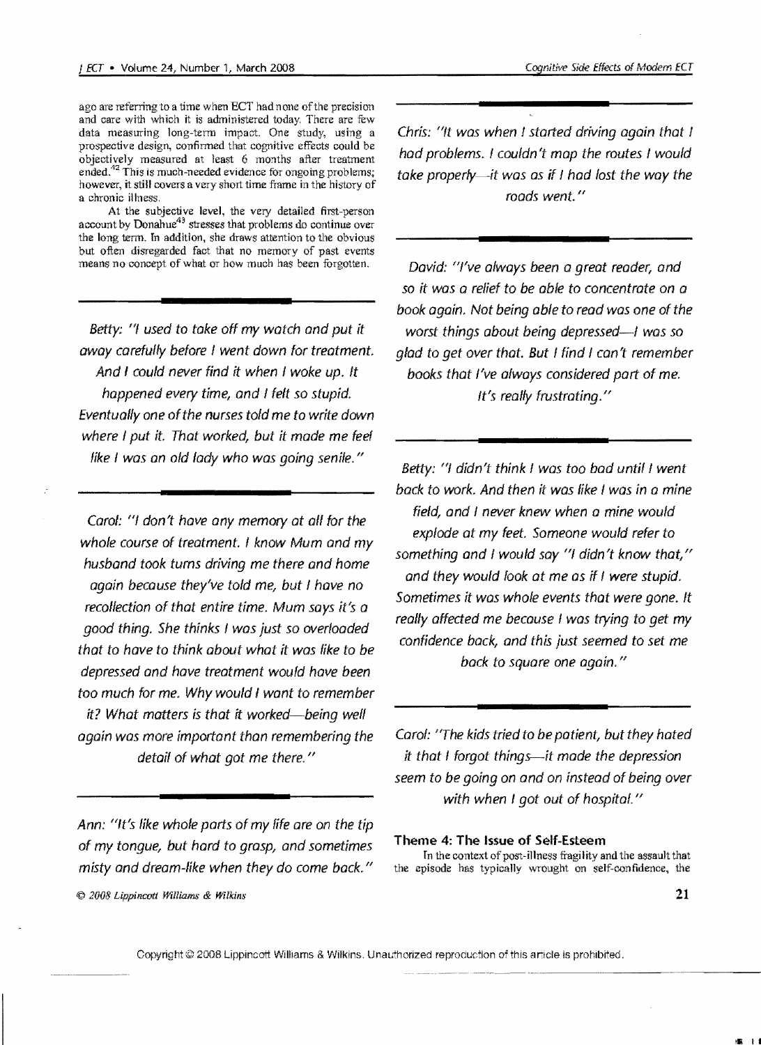ago are referring to a time when ECT had none of the precision and care with which it is administered today, There are few data measuring long-term impact. One study, using a prospective design, confirmed that cognitive effects could be objectively measured at least 6 months after treatment ended. $^{42}$  This is much-needed evidence for ongoing problems; however, it still covers a very short time frame in the history of a chronic illness,

At the subjective level, the very detailed first-person account by Donahue<sup>43</sup> stresses that problems do continue over the long term, In addition, she draws attention to the obvious but often disregarded fact that no memory of past events means no concept of what or how much has been forgotten.

Betty: "I used to take off my watch and put it away carefully before I went down for treatment. And I could never find it when I woke up. It happened every time, and I felt so stupid. Eventually one ofthe nurses told me to write down where I put it. That worked, but it made me feef like I was an old lady who was going senile."

Carol: "/ don't have any memory at all for the whole course of treatment. I know Mum and my husband took tums driving me there and home again because they've told me, but I have no recollection of that entire time. Mum says it's a good thing. She thinks I was just so overloaded that to have to think about what it was like to be depressed and have treatment would have been too much for me. Why would I want to remember it? What matters is that *it* worked-being well again was more important than remembering the detail of what got me there."

Ann: "It's like whole parts of my life are on the tip of my tongue, but hard to grasp, and sometimes misty and dream-like when they do come back."

 $© 2008 Lippincott Williams & Wilkins$ 

Chris: "ft was when I started driving again that I had problems. I couldn't map the routes I would take properly—it was as if I had lost the way the roads went. "

David: "I've always been a great reader, and so it was a relief to be able to concentrate on a book again. Not being able to read was one of the worst things about being depressed-I was so glad to get over that. But I find I can't remember books that I've always considered part of me. It's really frustrating."

Betty: "I didn't think I was too bad until I went back to wark. And then it was like I was in a mine field, and I never knew when a mine would explode at my feet. Someone would refer to something and I would say "I didn't know that," and they would look at me as if I were stupid. Sometimes it was whole events that were gone. It really affected me because I was trying to get my confidence back, and this just seemed to set me back to square one again."

Carol: "The kids tried to be patient, but they hated it that I forgot things-it made the depression seem to be going on and on instead of being over with when I got out of hospital."

# Theme 4: The Issue of Self-Esteem

In the context of post-illness fragility and the assault that the episode has typically wrought on self-confidence, the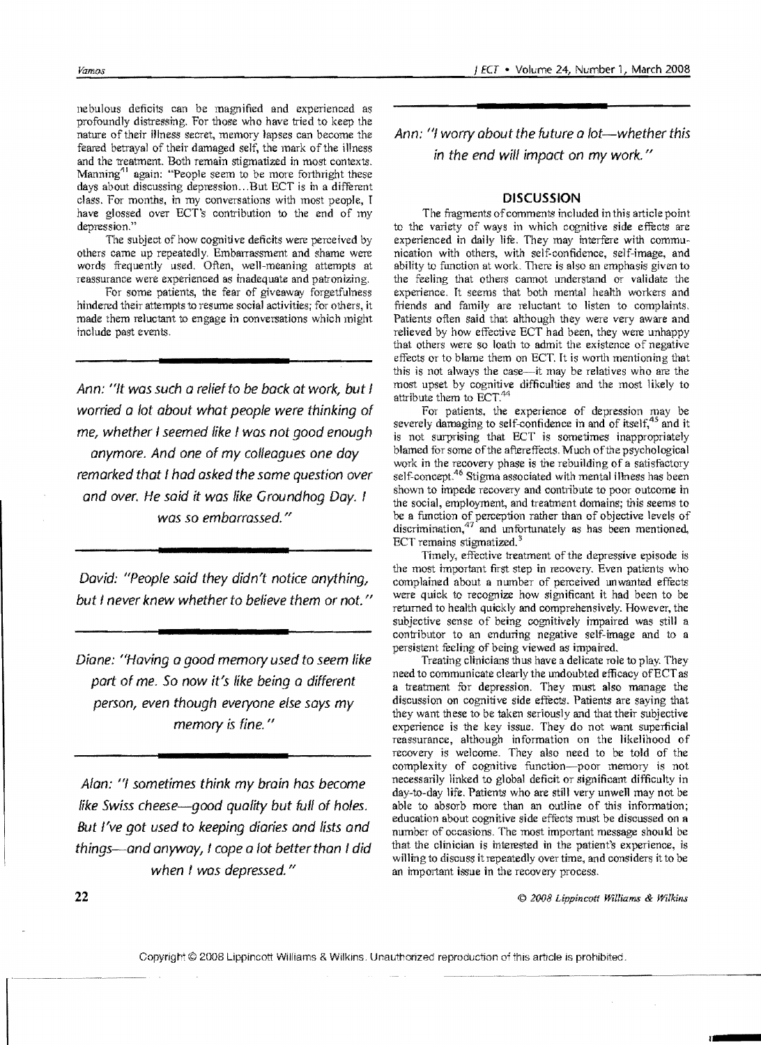nebulous deficits can be magnified and experienced as profoundly distressing. For those who have tried to keep the nature of their illness secret, memory lapses can become the feared betrayal of their damaged self, the mark of the illness and the treatment. Both remain stigmatized in most contexts. Manning<sup> $11$ </sup> again: "People seem to be more forthright these days about discussing depression... But ECT is in a different class. For months, in my conversations with most people, I have glossed over ECT's contribution to the end of my depression."

The subject of how cognitive deficits were perceived by others came up repeatedly. Embarrassment and shame were words frequently used. Often, well-meaning attempts at reassurance were experienced as inadequate and patronizing.

For some patients, the fear of giveaway forgetfulness hindered their attempts to resume social activities; for others, it made them reluctant to engage in conversations which might include past events.

Ann: "It was such a relief to be back at work, but I worried a lot about what people were thinking of me, whether I seemed like I was not good enough anymore. And one of my colleagues one day remarked that I had asked the same question over and over. He said *it* was like Groundhog Day. I was so embarrassed."

David: "People said they didn't notice anything, but I never knew whether to believe them or not. "

Diane: "Having a good memory used to seem like part of me. So now it's like being a different person, even though everyone else says my memory is fine."

Alan: "I sometimes think my brain has become like Swiss cheese-good quality but full of holes. But I've got used to keeping diaries and lists and things-and anyway, f cope a lot better than I did when I was depressed."

Ann: "I worry about the future a lot-whether this in the end will impact on my work. "

## **DISCUSSION**

The fragments of comments included in this article point to the variety of ways in which cognitive side effects are experienced in daily life. They may interfere with communication with others, with self-confidence, self-image, and ability to function at work. There is also an emphasis given to the feeling that others cannot understand Or validate the experience. It seems that both mental health workers and friends and family are reluctant to listen to complaints. Patients often said that although they were very aware and relieved by how effective ECT had been, they were unhappy that others were so loath to admit the existence of negative effects Or to blame them on ECT. It is worth mentioning that this is not always the case-it may be relatives who are the most upset by cognitive difficulties and the most likely to attribute them to ECT.<sup>44</sup>

For patients, the experience of depression may be severely damaging to self-confidence in and of itself, $45$  and it is not surprising that ECT is sometimes inappropriately blamed for some of the aftereffects. Much of the psychological work in the recovery phase is the rebuilding of a satisfactory self-concept.<sup>46</sup> Stigma associated with mental illness has been shown to impede recovery and contribute to poor outcome in the social, employment, and treatment domains; this seems to be a function of perception rather than of objective levels of discrimination,<sup>47</sup> and unfortunately as has been mentioned, ECT remains stigmatized.<sup>3</sup>

Timely, effective treatment of the depressive episode is the most important first step in recovery. Even patients who complained about a number of perceived unwanted efrects were quick to recognize how significant it had been to be returned to health quickly and comprehensively. However, the subjective sense of being cognitively impaired was still a contributor to an enduring negative self-image and to a persistent feeling of being viewed as impaired.

Treating clinicians thus have a delicate role to play. They need to communicate clearly the undoubted efficacy ofECT as a treatment for depression. They must also manage the discussion on cognitive side effects. Patients are saying that they want these to be taken seriously and that their subjective experience is the key issue. They do not want superficial reassurance, although information on the likelihood of recovery is welcome. They also need to be told of the complexity of cognitive function-poor memory is not necessarily linked to global deficit or gignificant difficulty in day-to-day life. Patients who are still very unwell may not be able to absorb more than an outline of this information; education about cognitive side efrects must be discussed on a number of occasions. The most important message should be that the clinician is interested in the patient's experience, is willing to discuss it repeatedly over time, and considers it to be an important issue in the recovery process.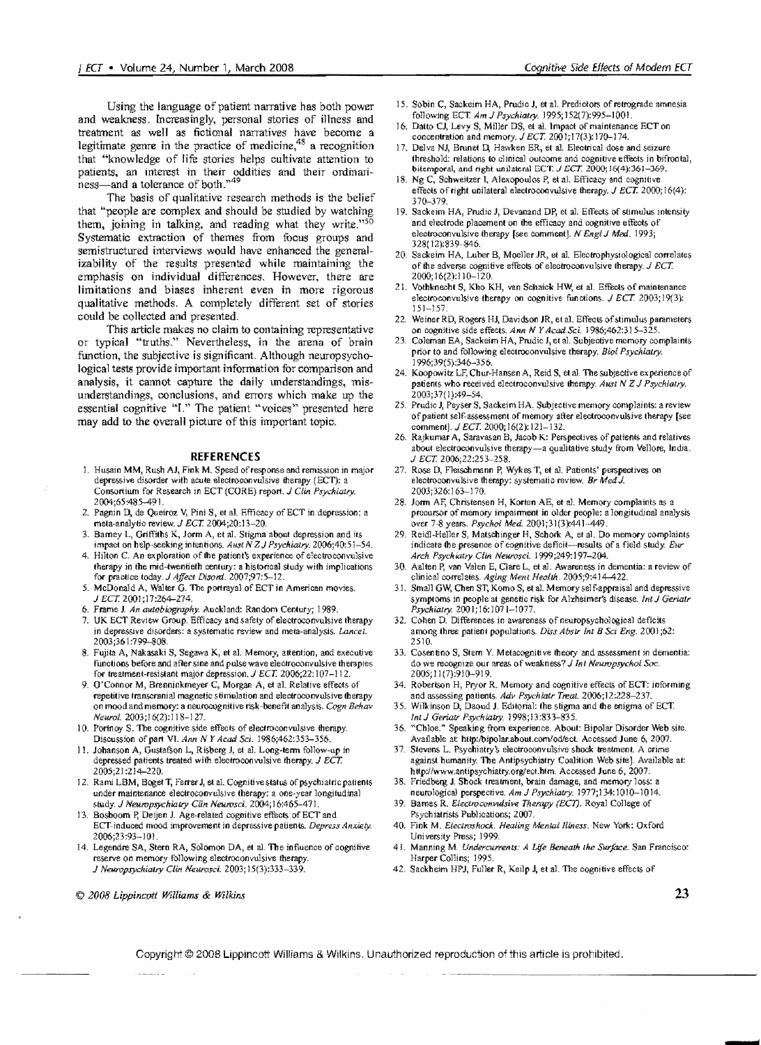Using the language of patient narrative has both power and weakness. Increasingly, personal stories of illness and treatment as well as fictional narratives have become a legitimate genre in the practice of medicine, $48$  a recognition that "knowledge of life stories helps cultivate attention to patients, an interest in their oddities and their ordinari $ness$ -and a tolerance of both. $n^{49}$ 

The basis of qualitative research methods is the belief that "people are complex and should be studied by watching them, joining in talking, and reading what they write."<sup>50</sup> Systematic extraction of themes from focus groups and semistructured interviews would have enhanced the generalizability of the results presented while maintaining the emphasis on individual differences. However, there are limitations and biases inherent even in more rigorous qualitative methods. A completely different set of stories could be collected and presented.

This article makes no claim to containing representative or typical "truths." Nevertheless, in the arena of brain function, the subjective is significant. Although neuropsychological tests provide important information for comparison and analysis, it cannot capture the daily lmderstandings, misunderstandings, conclusions, and errors which make up the essential cognitive "I." The patient "voices" presented here may add to the overall picture of this important topic.

#### **REFERENCES**

- 1. Husain MM, Rush AJ, Fink M. Speed of response and remission in major depressive disorder with acule electroconvulsive therapy (ECT): a Consortium for Research in ECT (CORE) report. J *Clin. Psychicary.*  2004;65:485-491.
- 2. Pagnin D, de Queiroz V, Pini S, et al. Efficacy of ECT in depression: a meta-analytic review. J *ECT. 2004;20:13-20.*
- 3. Barney L, Griffiths K, Jorm A, et al. Stigma about depression and its impact on help-seeking intentions. Aust N Z J Psychiatry. 2006;40:51-54.
- 4. Hilton C. An exploration of the patient's experience of electroconvulsive therapy in the mid-twentieth century: a historical study with implications for practice today. *J Affect Disord.* 2007;97:5-12.
- 5. McDonald A, Walter G. The portrayal of ECT in American movies. J *ECT. 2001;17:264-274.*
- 6. Frame J. *An autobiography.* Auckland: Random Century; 1989.
- 7. UK ECT Review Group. Efficacy and safety of electroconvulsive therapy in depressive disorders: a systematic review and meta-analysis. *Lancet*. 2003;361:799-808.
- 8. Fujita A, Nakasaki S, Segawa K, et al. Memory, attention, and executive functions before and after sine and pUlse wave electroconvulsive therapies for treatment-resistant major depression. *J ECT.* 2006;22:107-112.
- 9. O'Connor M, Brenninkmeyer C, Morgan A, et al. Relative effects of repetitive transcranial magnetic stimulation and electroconvulsive therapy on mood and memory: a neurocognitive risk-benefit analysis. *Cogn Behav Neural. 2003;16(2):118-127.*
- 10. Portnoy S. The cognitive side effects of electroconvulsive therapy. Discussion of part VI. *Ann N Y Acad Sci.* 1986;462:353-356.
- 11. Johanson A, Gustafson L, Risberg J, et al. Long-term follow-up in depressed patients treated with electroconvulsive therapy.  $J$  ECT. 2005;21:214-220.
- 12. Rami LBM, Boget T, Ferrer J, et al. Cognitive status of psychiatric patients under maintenance electroconvulsive therapy: a one-year longitudinal study. J *Neuropsychiatry Clin Neurosd.* 2004; J6:465-471.
- 13. Bosboom P, Deijen J. Age-related cognitive effects of ECT and ECT-induced mood improvement in depressive patients. *Depress Anxiety.* 2006;23:93-101.
- l4. Legendre SA, Stern RA, Solomon DA, el aL The influence of cognitive reserve on memory following electroconvulsive therapy. J *New"Opsychialry Clin. NeW"Osd.* 2003; 15(3):333-339.
- l5. Sobin C, Sackeim HA, Prudic J, et al. Predictors of retrograde amnesia following ECT *Am* J *Psychialry.* 1995; 152(7):995-1001.'
- 16. Datto CJ, Levy S, Miller DS, et al. Impact of maintenance ECT on concentration and memory. *J ECT*. 2001;17(3): 170-174.
- 17. Delva NJ, Brunet D, Hawken ER, et al. Electrical dose and seizure threshold: relations to clinical outcome and cognitive effects in bifrontal, bitemporal, and right unilateral ECT.  $J ECT. 2000; 16(4):361-369$ .
- 18. Ng C, Schweitzer I, Alexopoulos P, et a1. Efficacy and cognitive effects of right unilateral electroconvulsive therapy.  $J ECT$ . 2000; 16(4): 370-379.
- 19. Sackeim HA, Prudic J, Devanand DP, et al. Effects of stimulus intensity and electrode placement on the efficacy and cognitive effects of electroconvulsive therapy [see comment). N *EnglJ* Mea. *1993;*  32S( 12):839~6.
- 20. Sackeim HA, Luber B, Moeller JR, et al. Electrophysiological correlates of tile adverse cognitive effects of electroconvulsive therapy.J *ECT.*  2000;16(2):110-120.
- 21. Vothknecht S, Kho KH, van Schaick HW, et al. Effects of maintenance electroconvulsive therapy on cognitive functions.  $J ECT$  2003;19(3): 151-157.
- 22. Weiner RD, Rogers HJ, Davidson JR, et al. Effects of stimulus parameters on cognitive side effects. Ann N Y Acad Sci. 1986;462:315-32
- 23. Coleman EA, Sackeim HA, Prudic I, et al. Subjective memory complaints prior to and following electroconvulsive therapy. Biol Psychiatry. 1996;39(5}:34&-356.
- 24. Koopowitz LF, Chur-Hansen A, Reid S, et al. The subjective experience of patients who received electroconvulsive therapy. Ausl *N* Z J *Psychialry.*  2003;37( 1 ):49-54.
- 25. Prudic J, Peyser S, Sackeim HA. Subjective memory complaints: a review ofpatient self-assessment of memory after electroconvulsive therapy [see comment]. *J ECT.* 2000; 16(2): 121-132.
- 26. Rajkumar A, Saravasan B, Jacob K: Perspectives of patients and relatives about electroconvulsive therapy-a qualitative study from Vellore, India. J EeT. *2006;22:253-258.*
- 27. Rose D, Fleischmann P, Wykes T, et al. Patients' perspectives on electroconvulsive therapy: systematic review. *Br MedJ.*  2003; 326: 163-170.
- 28. Jorm AF, Christensen H, Korten AE, et al. Memory complaints as a precursor of memory impairment in older people: a longitudinal analysis over 7-8 years. Psychol Med. 2001;31(3):441-449.
- 29. Reidl-Heller S, Matscbinger H, Schork A, et a1. Do memory complaints indicate the presence of cognitive deficit-results of a field study. Eur *Arch Psychialry Clin NelVosci.* 1999;249:1 97-2M.
- 30. Aalten P, van Valen E, Clare L, et al. Awareness in dementia: a review of clinical correlates. Aging Ment Health. 2005;9:414-422.
- 31. Small GW, Chen ST, Komo S, et al. Memory self-appraisal and depressive symptoms in people at genetic risk for Alzheimer's disease. *Int J Geriatr Psychiatry.* 200 l; 16: 1071-1077.
- 32. Cohen D. Differences in awareness of neuropsychological deficits among three patient populations. *Diss Abslr lnt B* Sci *Eng.* 2001 ;62: 2510.
- 33. Cosentino S, Stem Y. Metacognitive theory and assessment in dementia: do we recognize our areas of weakness? *J Int Neuropsychol Soc.* 2005; 11 (7):9l0-9l9.
- 34. Robertson H, Pryor R. Memory and cognitive effects of ECT: informing and assessing patients. Adv Psychiatr Treat. 2006;12:228-237.
- 35. Wilkinson D, Daoud J. Editorial: the stigma and the enigma of ECT. *InlJ Gerialr Psychiatry. 1998;13:833-835.*
- 36. "Chloe." Speaking from experience. About: Bipolar Disorder Web site. Available at http:/bipolar.about.com/od/ect. Accessed June 6, 2007.
- 37. Stevens L. Psycbiatry's electroconvulsive shock treatment. A crime against humanity. The Antipsychiatry Coalition Web site]. Available at: http://www.antipsychiatry.org/ect.htm. Accessed June 6, 2007.
- 38. Friedberg J. Shock treatment, brain damage, and memory loss: a neurological perspective. Am J Psychiatry. 1977;134:1010-1014.
- 39. Barnes R. *Electroconvulsive Therapy (ECT)*. Royal College of Psychiatrists Publications; 2007.
- 40. Fink M. *Electroshock. Healing Mental Illness*. New York: Oxford University Press; 1999.
- 41. Manning M. *Undercurrents: A Life Beneath the Surface*. San Francisco: Harper Collins; 1995.
- 42. Sackheim HPJ, Fuller R, Keilp J, et aL The cognitive effects of

© *2Q08* LippincQff *Williams* & *Wilkins*